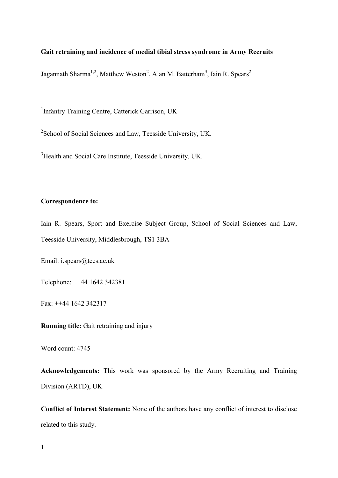# **Gait retraining and incidence of medial tibial stress syndrome in Army Recruits**

Jagannath Sharma<sup>1,2</sup>, Matthew Weston<sup>2</sup>, Alan M. Batterham<sup>3</sup>, Iain R. Spears<sup>2</sup>

<sup>1</sup>Infantry Training Centre, Catterick Garrison, UK

<sup>2</sup> School of Social Sciences and Law, Teesside University, UK.

<sup>3</sup>Health and Social Care Institute, Teesside University, UK.

### **Correspondence to:**

Iain R. Spears, Sport and Exercise Subject Group, School of Social Sciences and Law, Teesside University, Middlesbrough, TS1 3BA

Email: i.spears@tees.ac.uk

Telephone: ++44 1642 342381

Fax: ++44 1642 342317

**Running title:** Gait retraining and injury

Word count: 4745

**Acknowledgements:** This work was sponsored by the Army Recruiting and Training Division (ARTD), UK

**Conflict of Interest Statement:** None of the authors have any conflict of interest to disclose related to this study.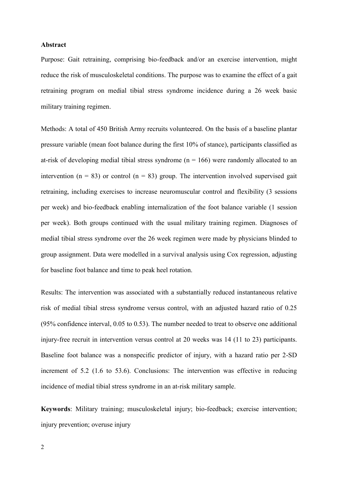### **Abstract**

Purpose: Gait retraining, comprising bio-feedback and/or an exercise intervention, might reduce the risk of musculoskeletal conditions. The purpose was to examine the effect of a gait retraining program on medial tibial stress syndrome incidence during a 26 week basic military training regimen.

Methods: A total of 450 British Army recruits volunteered. On the basis of a baseline plantar pressure variable (mean foot balance during the first 10% of stance), participants classified as at-risk of developing medial tibial stress syndrome ( $n = 166$ ) were randomly allocated to an intervention ( $n = 83$ ) or control ( $n = 83$ ) group. The intervention involved supervised gait retraining, including exercises to increase neuromuscular control and flexibility (3 sessions per week) and bio-feedback enabling internalization of the foot balance variable (1 session per week). Both groups continued with the usual military training regimen. Diagnoses of medial tibial stress syndrome over the 26 week regimen were made by physicians blinded to group assignment. Data were modelled in a survival analysis using Cox regression, adjusting for baseline foot balance and time to peak heel rotation.

Results: The intervention was associated with a substantially reduced instantaneous relative risk of medial tibial stress syndrome versus control, with an adjusted hazard ratio of 0.25 (95% confidence interval, 0.05 to 0.53). The number needed to treat to observe one additional injury-free recruit in intervention versus control at 20 weeks was 14 (11 to 23) participants. Baseline foot balance was a nonspecific predictor of injury, with a hazard ratio per 2-SD increment of 5.2 (1.6 to 53.6). Conclusions: The intervention was effective in reducing incidence of medial tibial stress syndrome in an at-risk military sample.

**Keywords**: Military training; musculoskeletal injury; bio-feedback; exercise intervention; injury prevention; overuse injury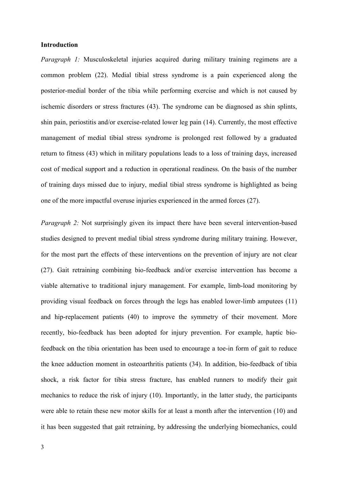### **Introduction**

*Paragraph 1:* Musculoskeletal injuries acquired during military training regimens are a common problem (22). Medial tibial stress syndrome is a pain experienced along the posterior-medial border of the tibia while performing exercise and which is not caused by ischemic disorders or stress fractures (43). The syndrome can be diagnosed as shin splints, shin pain, periostitis and/or exercise-related lower leg pain (14). Currently, the most effective management of medial tibial stress syndrome is prolonged rest followed by a graduated return to fitness (43) which in military populations leads to a loss of training days, increased cost of medical support and a reduction in operational readiness. On the basis of the number of training days missed due to injury, medial tibial stress syndrome is highlighted as being one of the more impactful overuse injuries experienced in the armed forces (27).

*Paragraph 2:* Not surprisingly given its impact there have been several intervention-based studies designed to prevent medial tibial stress syndrome during military training. However, for the most part the effects of these interventions on the prevention of injury are not clear (27). Gait retraining combining bio-feedback and/or exercise intervention has become a viable alternative to traditional injury management. For example, limb-load monitoring by providing visual feedback on forces through the legs has enabled lower-limb amputees (11) and hip-replacement patients (40) to improve the symmetry of their movement. More recently, bio-feedback has been adopted for injury prevention. For example, haptic biofeedback on the tibia orientation has been used to encourage a toe-in form of gait to reduce the knee adduction moment in osteoarthritis patients (34). In addition, bio-feedback of tibia shock, a risk factor for tibia stress fracture, has enabled runners to modify their gait mechanics to reduce the risk of injury (10). Importantly, in the latter study, the participants were able to retain these new motor skills for at least a month after the intervention (10) and it has been suggested that gait retraining, by addressing the underlying biomechanics, could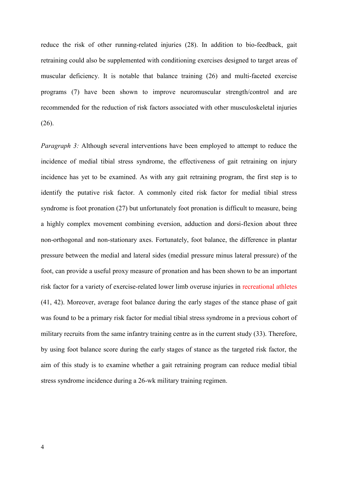reduce the risk of other running-related injuries (28). In addition to bio-feedback, gait retraining could also be supplemented with conditioning exercises designed to target areas of muscular deficiency. It is notable that balance training (26) and multi-faceted exercise programs (7) have been shown to improve neuromuscular strength/control and are recommended for the reduction of risk factors associated with other musculoskeletal injuries (26).

*Paragraph 3:* Although several interventions have been employed to attempt to reduce the incidence of medial tibial stress syndrome, the effectiveness of gait retraining on injury incidence has yet to be examined. As with any gait retraining program, the first step is to identify the putative risk factor. A commonly cited risk factor for medial tibial stress syndrome is foot pronation (27) but unfortunately foot pronation is difficult to measure, being a highly complex movement combining eversion, adduction and dorsi-flexion about three non-orthogonal and non-stationary axes. Fortunately, foot balance, the difference in plantar pressure between the medial and lateral sides (medial pressure minus lateral pressure) of the foot, can provide a useful proxy measure of pronation and has been shown to be an important risk factor for a variety of exercise-related lower limb overuse injuries in recreational athletes (41, 42). Moreover, average foot balance during the early stages of the stance phase of gait was found to be a primary risk factor for medial tibial stress syndrome in a previous cohort of military recruits from the same infantry training centre as in the current study (33). Therefore, by using foot balance score during the early stages of stance as the targeted risk factor, the aim of this study is to examine whether a gait retraining program can reduce medial tibial stress syndrome incidence during a 26-wk military training regimen.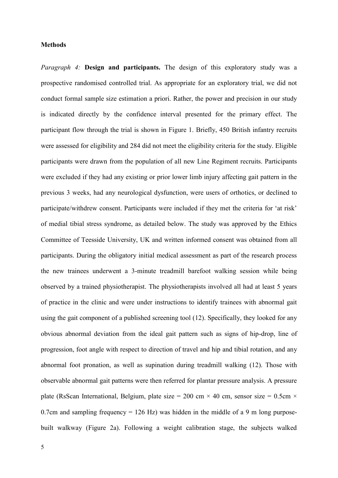### **Methods**

*Paragraph 4:* **Design and participants.** The design of this exploratory study was a prospective randomised controlled trial. As appropriate for an exploratory trial, we did not conduct formal sample size estimation a priori. Rather, the power and precision in our study is indicated directly by the confidence interval presented for the primary effect. The participant flow through the trial is shown in Figure 1. Briefly, 450 British infantry recruits were assessed for eligibility and 284 did not meet the eligibility criteria for the study. Eligible participants were drawn from the population of all new Line Regiment recruits. Participants were excluded if they had any existing or prior lower limb injury affecting gait pattern in the previous 3 weeks, had any neurological dysfunction, were users of orthotics, or declined to participate/withdrew consent. Participants were included if they met the criteria for 'at risk' of medial tibial stress syndrome, as detailed below. The study was approved by the Ethics Committee of Teesside University, UK and written informed consent was obtained from all participants. During the obligatory initial medical assessment as part of the research process the new trainees underwent a 3-minute treadmill barefoot walking session while being observed by a trained physiotherapist. The physiotherapists involved all had at least 5 years of practice in the clinic and were under instructions to identify trainees with abnormal gait using the gait component of a published screening tool (12). Specifically, they looked for any obvious abnormal deviation from the ideal gait pattern such as signs of hip-drop, line of progression, foot angle with respect to direction of travel and hip and tibial rotation, and any abnormal foot pronation, as well as supination during treadmill walking (12). Those with observable abnormal gait patterns were then referred for plantar pressure analysis. A pressure plate (RsScan International, Belgium, plate size = 200 cm  $\times$  40 cm, sensor size = 0.5cm  $\times$ 0.7cm and sampling frequency  $= 126$  Hz) was hidden in the middle of a 9 m long purposebuilt walkway (Figure 2a). Following a weight calibration stage, the subjects walked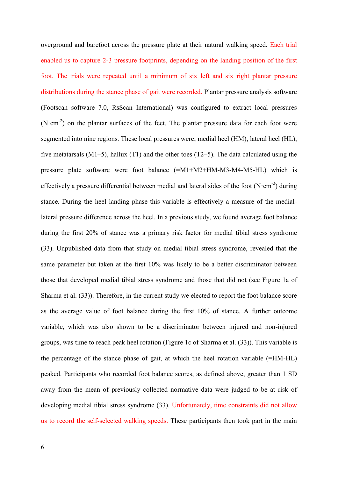overground and barefoot across the pressure plate at their natural walking speed. Each trial enabled us to capture 2-3 pressure footprints, depending on the landing position of the first foot. The trials were repeated until a minimum of six left and six right plantar pressure distributions during the stance phase of gait were recorded. Plantar pressure analysis software (Footscan software 7.0, RsScan International) was configured to extract local pressures (N $\cdot$ cm<sup>-2</sup>) on the plantar surfaces of the feet. The plantar pressure data for each foot were segmented into nine regions. These local pressures were; medial heel (HM), lateral heel (HL), five metatarsals  $(M1–5)$ , hallux  $(T1)$  and the other toes  $(T2–5)$ . The data calculated using the pressure plate software were foot balance (=M1+M2+HM-M3-M4-M5-HL) which is effectively a pressure differential between medial and lateral sides of the foot  $(N \cdot cm^{-2})$  during stance. During the heel landing phase this variable is effectively a measure of the mediallateral pressure difference across the heel. In a previous study, we found average foot balance during the first 20% of stance was a primary risk factor for medial tibial stress syndrome (33). Unpublished data from that study on medial tibial stress syndrome, revealed that the same parameter but taken at the first 10% was likely to be a better discriminator between those that developed medial tibial stress syndrome and those that did not (see Figure 1a of Sharma et al. (33)). Therefore, in the current study we elected to report the foot balance score as the average value of foot balance during the first 10% of stance. A further outcome variable, which was also shown to be a discriminator between injured and non-injured groups, was time to reach peak heel rotation (Figure 1c of Sharma et al. (33)). This variable is the percentage of the stance phase of gait, at which the heel rotation variable (=HM-HL) peaked. Participants who recorded foot balance scores, as defined above, greater than 1 SD away from the mean of previously collected normative data were judged to be at risk of developing medial tibial stress syndrome (33). Unfortunately, time constraints did not allow us to record the self-selected walking speeds. These participants then took part in the main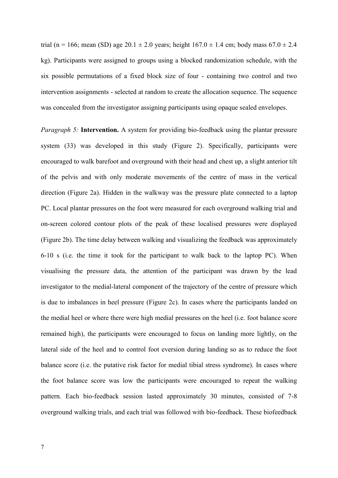trial (n = 166; mean (SD) age 20.1  $\pm$  2.0 years; height 167.0  $\pm$  1.4 cm; body mass 67.0  $\pm$  2.4 kg). Participants were assigned to groups using a blocked randomization schedule, with the six possible permutations of a fixed block size of four - containing two control and two intervention assignments - selected at random to create the allocation sequence. The sequence was concealed from the investigator assigning participants using opaque sealed envelopes.

*Paragraph 5:* **Intervention.** A system for providing bio-feedback using the plantar pressure system (33) was developed in this study (Figure 2). Specifically, participants were encouraged to walk barefoot and overground with their head and chest up, a slight anterior tilt of the pelvis and with only moderate movements of the centre of mass in the vertical direction (Figure 2a). Hidden in the walkway was the pressure plate connected to a laptop PC. Local plantar pressures on the foot were measured for each overground walking trial and on-screen colored contour plots of the peak of these localised pressures were displayed (Figure 2b). The time delay between walking and visualizing the feedback was approximately 6-10 s (i.e. the time it took for the participant to walk back to the laptop PC). When visualising the pressure data, the attention of the participant was drawn by the lead investigator to the medial-lateral component of the trajectory of the centre of pressure which is due to imbalances in heel pressure (Figure 2c). In cases where the participants landed on the medial heel or where there were high medial pressures on the heel (i.e. foot balance score remained high), the participants were encouraged to focus on landing more lightly, on the lateral side of the heel and to control foot eversion during landing so as to reduce the foot balance score (i.e. the putative risk factor for medial tibial stress syndrome). In cases where the foot balance score was low the participants were encouraged to repeat the walking pattern. Each bio-feedback session lasted approximately 30 minutes, consisted of 7-8 overground walking trials, and each trial was followed with bio-feedback. These biofeedback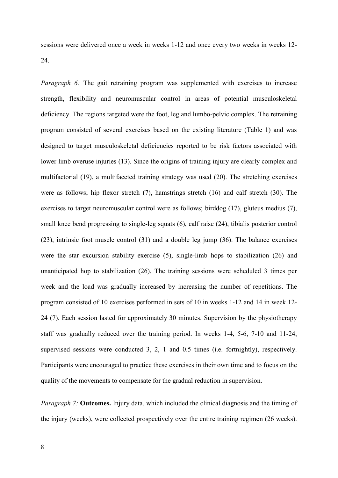sessions were delivered once a week in weeks 1-12 and once every two weeks in weeks 12- 24.

*Paragraph 6:* The gait retraining program was supplemented with exercises to increase strength, flexibility and neuromuscular control in areas of potential musculoskeletal deficiency. The regions targeted were the foot, leg and lumbo-pelvic complex. The retraining program consisted of several exercises based on the existing literature (Table 1) and was designed to target musculoskeletal deficiencies reported to be risk factors associated with lower limb overuse injuries (13). Since the origins of training injury are clearly complex and multifactorial (19), a multifaceted training strategy was used (20). The stretching exercises were as follows; hip flexor stretch (7), hamstrings stretch (16) and calf stretch (30). The exercises to target neuromuscular control were as follows; birddog (17), gluteus medius (7), small knee bend progressing to single-leg squats (6), calf raise (24), tibialis posterior control (23), intrinsic foot muscle control (31) and a double leg jump (36). The balance exercises were the star excursion stability exercise (5), single-limb hops to stabilization (26) and unanticipated hop to stabilization (26). The training sessions were scheduled 3 times per week and the load was gradually increased by increasing the number of repetitions. The program consisted of 10 exercises performed in sets of 10 in weeks 1-12 and 14 in week 12- 24 (7). Each session lasted for approximately 30 minutes. Supervision by the physiotherapy staff was gradually reduced over the training period. In weeks 1-4, 5-6, 7-10 and 11-24, supervised sessions were conducted 3, 2, 1 and 0.5 times (i.e. fortnightly), respectively. Participants were encouraged to practice these exercises in their own time and to focus on the quality of the movements to compensate for the gradual reduction in supervision.

*Paragraph 7:* **Outcomes.** Injury data, which included the clinical diagnosis and the timing of the injury (weeks), were collected prospectively over the entire training regimen (26 weeks).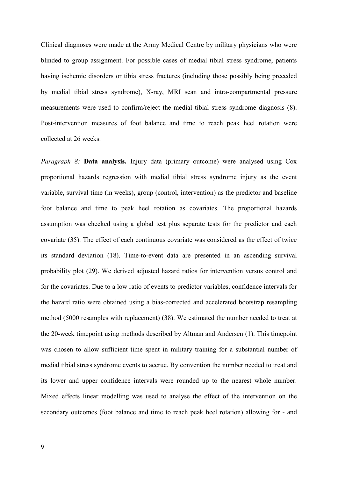Clinical diagnoses were made at the Army Medical Centre by military physicians who were blinded to group assignment. For possible cases of medial tibial stress syndrome, patients having ischemic disorders or tibia stress fractures (including those possibly being preceded by medial tibial stress syndrome), X-ray, MRI scan and intra-compartmental pressure measurements were used to confirm/reject the medial tibial stress syndrome diagnosis (8). Post-intervention measures of foot balance and time to reach peak heel rotation were collected at 26 weeks.

*Paragraph 8:* **Data analysis.** Injury data (primary outcome) were analysed using Cox proportional hazards regression with medial tibial stress syndrome injury as the event variable, survival time (in weeks), group (control, intervention) as the predictor and baseline foot balance and time to peak heel rotation as covariates. The proportional hazards assumption was checked using a global test plus separate tests for the predictor and each covariate (35). The effect of each continuous covariate was considered as the effect of twice its standard deviation (18). Time-to-event data are presented in an ascending survival probability plot (29). We derived adjusted hazard ratios for intervention versus control and for the covariates. Due to a low ratio of events to predictor variables, confidence intervals for the hazard ratio were obtained using a bias-corrected and accelerated bootstrap resampling method (5000 resamples with replacement) (38). We estimated the number needed to treat at the 20-week timepoint using methods described by Altman and Andersen (1). This timepoint was chosen to allow sufficient time spent in military training for a substantial number of medial tibial stress syndrome events to accrue. By convention the number needed to treat and its lower and upper confidence intervals were rounded up to the nearest whole number. Mixed effects linear modelling was used to analyse the effect of the intervention on the secondary outcomes (foot balance and time to reach peak heel rotation) allowing for - and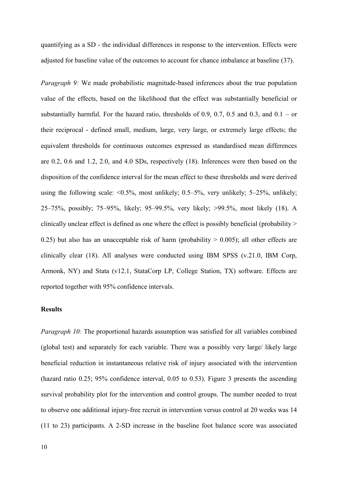quantifying as a SD - the individual differences in response to the intervention. Effects were adjusted for baseline value of the outcomes to account for chance imbalance at baseline (37).

*Paragraph 9:* We made probabilistic magnitude-based inferences about the true population value of the effects, based on the likelihood that the effect was substantially beneficial or substantially harmful. For the hazard ratio, thresholds of 0.9, 0.7, 0.5 and 0.3, and  $0.1 - or$ their reciprocal - defined small, medium, large, very large, or extremely large effects; the equivalent thresholds for continuous outcomes expressed as standardised mean differences are 0.2, 0.6 and 1.2, 2.0, and 4.0 SDs, respectively (18). Inferences were then based on the disposition of the confidence interval for the mean effect to these thresholds and were derived using the following scale:  $\leq 0.5\%$ , most unlikely; 0.5–5%, very unlikely; 5–25%, unlikely; 25–75%, possibly; 75–95%, likely; 95–99.5%, very likely; >99.5%, most likely (18). A clinically unclear effect is defined as one where the effect is possibly beneficial (probability > 0.25) but also has an unacceptable risk of harm (probability  $> 0.005$ ); all other effects are clinically clear (18). All analyses were conducted using IBM SPSS (v.21.0, IBM Corp, Armonk, NY) and Stata (v12.1, StataCorp LP, College Station, TX) software. Effects are reported together with 95% confidence intervals.

# **Results**

*Paragraph 10:* The proportional hazards assumption was satisfied for all variables combined (global test) and separately for each variable. There was a possibly very large/ likely large beneficial reduction in instantaneous relative risk of injury associated with the intervention (hazard ratio 0.25; 95% confidence interval, 0.05 to 0.53). Figure 3 presents the ascending survival probability plot for the intervention and control groups. The number needed to treat to observe one additional injury-free recruit in intervention versus control at 20 weeks was 14 (11 to 23) participants. A 2-SD increase in the baseline foot balance score was associated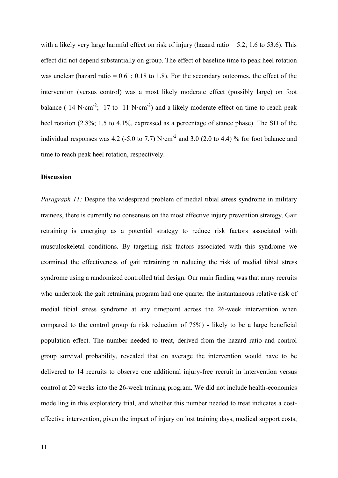with a likely very large harmful effect on risk of injury (hazard ratio  $= 5.2$ ; 1.6 to 53.6). This effect did not depend substantially on group. The effect of baseline time to peak heel rotation was unclear (hazard ratio =  $0.61$ ;  $0.18$  to 1.8). For the secondary outcomes, the effect of the intervention (versus control) was a most likely moderate effect (possibly large) on foot balance (-14 N·cm<sup>-2</sup>; -17 to -11 N·cm<sup>-2</sup>) and a likely moderate effect on time to reach peak heel rotation (2.8%; 1.5 to 4.1%, expressed as a percentage of stance phase). The SD of the individual responses was 4.2 (-5.0 to 7.7) N $\cdot$ cm<sup>-2</sup> and 3.0 (2.0 to 4.4) % for foot balance and time to reach peak heel rotation, respectively.

### **Discussion**

*Paragraph 11:* Despite the widespread problem of medial tibial stress syndrome in military trainees, there is currently no consensus on the most effective injury prevention strategy. Gait retraining is emerging as a potential strategy to reduce risk factors associated with musculoskeletal conditions. By targeting risk factors associated with this syndrome we examined the effectiveness of gait retraining in reducing the risk of medial tibial stress syndrome using a randomized controlled trial design. Our main finding was that army recruits who undertook the gait retraining program had one quarter the instantaneous relative risk of medial tibial stress syndrome at any timepoint across the 26-week intervention when compared to the control group (a risk reduction of 75%) - likely to be a large beneficial population effect. The number needed to treat, derived from the hazard ratio and control group survival probability, revealed that on average the intervention would have to be delivered to 14 recruits to observe one additional injury-free recruit in intervention versus control at 20 weeks into the 26-week training program. We did not include health-economics modelling in this exploratory trial, and whether this number needed to treat indicates a costeffective intervention, given the impact of injury on lost training days, medical support costs,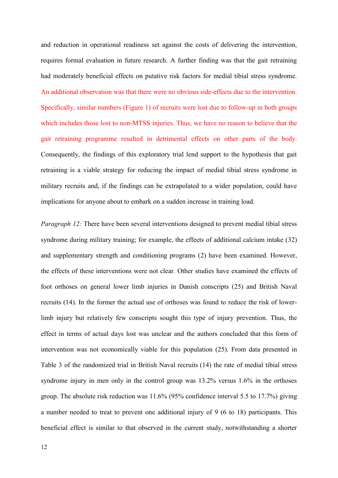and reduction in operational readiness set against the costs of delivering the intervention, requires formal evaluation in future research. A further finding was that the gait retraining had moderately beneficial effects on putative risk factors for medial tibial stress syndrome. An additional observation was that there were no obvious side-effects due to the intervention. Specifically, similar numbers (Figure 1) of recruits were lost due to follow-up in both groups which includes those lost to non-MTSS injuries. Thus, we have no reason to believe that the gait retraining programme resulted in detrimental effects on other parts of the body. Consequently, the findings of this exploratory trial lend support to the hypothesis that gait retraining is a viable strategy for reducing the impact of medial tibial stress syndrome in military recruits and, if the findings can be extrapolated to a wider population, could have implications for anyone about to embark on a sudden increase in training load.

*Paragraph 12:* There have been several interventions designed to prevent medial tibial stress syndrome during military training; for example, the effects of additional calcium intake (32) and supplementary strength and conditioning programs (2) have been examined. However, the effects of these interventions were not clear. Other studies have examined the effects of foot orthoses on general lower limb injuries in Danish conscripts (25) and British Naval recruits (14). In the former the actual use of orthoses was found to reduce the risk of lowerlimb injury but relatively few conscripts sought this type of injury prevention. Thus, the effect in terms of actual days lost was unclear and the authors concluded that this form of intervention was not economically viable for this population (25). From data presented in Table 3 of the randomized trial in British Naval recruits (14) the rate of medial tibial stress syndrome injury in men only in the control group was 13.2% versus 1.6% in the orthoses group. The absolute risk reduction was 11.6% (95% confidence interval 5.5 to 17.7%) giving a number needed to treat to prevent one additional injury of 9 (6 to 18) participants. This beneficial effect is similar to that observed in the current study, notwithstanding a shorter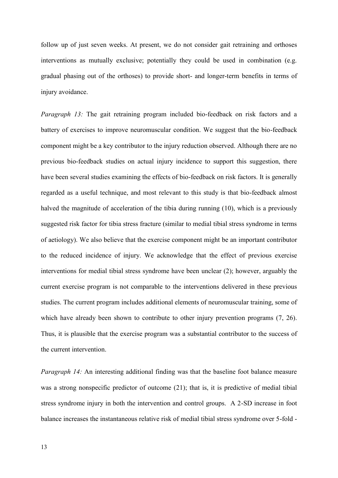follow up of just seven weeks. At present, we do not consider gait retraining and orthoses interventions as mutually exclusive; potentially they could be used in combination (e.g. gradual phasing out of the orthoses) to provide short- and longer-term benefits in terms of injury avoidance.

*Paragraph 13:* The gait retraining program included bio-feedback on risk factors and a battery of exercises to improve neuromuscular condition. We suggest that the bio-feedback component might be a key contributor to the injury reduction observed. Although there are no previous bio-feedback studies on actual injury incidence to support this suggestion, there have been several studies examining the effects of bio-feedback on risk factors. It is generally regarded as a useful technique, and most relevant to this study is that bio-feedback almost halved the magnitude of acceleration of the tibia during running (10), which is a previously suggested risk factor for tibia stress fracture (similar to medial tibial stress syndrome in terms of aetiology). We also believe that the exercise component might be an important contributor to the reduced incidence of injury. We acknowledge that the effect of previous exercise interventions for medial tibial stress syndrome have been unclear (2); however, arguably the current exercise program is not comparable to the interventions delivered in these previous studies. The current program includes additional elements of neuromuscular training, some of which have already been shown to contribute to other injury prevention programs  $(7, 26)$ . Thus, it is plausible that the exercise program was a substantial contributor to the success of the current intervention.

*Paragraph 14:* An interesting additional finding was that the baseline foot balance measure was a strong nonspecific predictor of outcome (21); that is, it is predictive of medial tibial stress syndrome injury in both the intervention and control groups. A 2-SD increase in foot balance increases the instantaneous relative risk of medial tibial stress syndrome over 5-fold -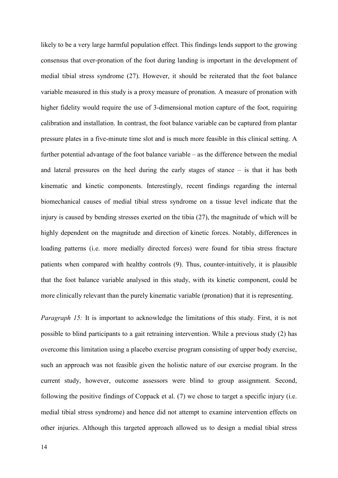likely to be a very large harmful population effect. This findings lends support to the growing consensus that over-pronation of the foot during landing is important in the development of medial tibial stress syndrome (27). However, it should be reiterated that the foot balance variable measured in this study is a proxy measure of pronation. A measure of pronation with higher fidelity would require the use of 3-dimensional motion capture of the foot, requiring calibration and installation. In contrast, the foot balance variable can be captured from plantar pressure plates in a five-minute time slot and is much more feasible in this clinical setting. A further potential advantage of the foot balance variable – as the difference between the medial and lateral pressures on the heel during the early stages of stance – is that it has both kinematic and kinetic components. Interestingly, recent findings regarding the internal biomechanical causes of medial tibial stress syndrome on a tissue level indicate that the injury is caused by bending stresses exerted on the tibia (27), the magnitude of which will be highly dependent on the magnitude and direction of kinetic forces. Notably, differences in loading patterns (i.e. more medially directed forces) were found for tibia stress fracture patients when compared with healthy controls (9). Thus, counter-intuitively, it is plausible that the foot balance variable analysed in this study, with its kinetic component, could be more clinically relevant than the purely kinematic variable (pronation) that it is representing.

*Paragraph 15:* It is important to acknowledge the limitations of this study. First, it is not possible to blind participants to a gait retraining intervention. While a previous study (2) has overcome this limitation using a placebo exercise program consisting of upper body exercise, such an approach was not feasible given the holistic nature of our exercise program. In the current study, however, outcome assessors were blind to group assignment. Second, following the positive findings of Coppack et al. (7) we chose to target a specific injury (i.e. medial tibial stress syndrome) and hence did not attempt to examine intervention effects on other injuries. Although this targeted approach allowed us to design a medial tibial stress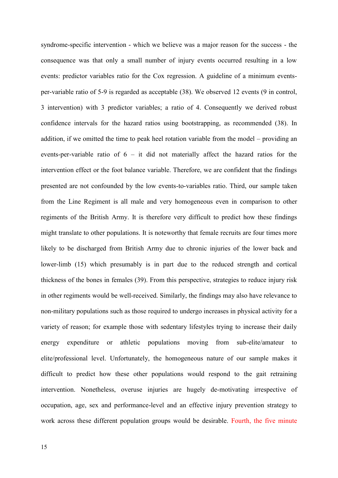syndrome-specific intervention - which we believe was a major reason for the success - the consequence was that only a small number of injury events occurred resulting in a low events: predictor variables ratio for the Cox regression. A guideline of a minimum eventsper-variable ratio of 5-9 is regarded as acceptable (38). We observed 12 events (9 in control, 3 intervention) with 3 predictor variables; a ratio of 4. Consequently we derived robust confidence intervals for the hazard ratios using bootstrapping, as recommended (38). In addition, if we omitted the time to peak heel rotation variable from the model – providing an events-per-variable ratio of 6 – it did not materially affect the hazard ratios for the intervention effect or the foot balance variable. Therefore, we are confident that the findings presented are not confounded by the low events-to-variables ratio. Third, our sample taken from the Line Regiment is all male and very homogeneous even in comparison to other regiments of the British Army. It is therefore very difficult to predict how these findings might translate to other populations. It is noteworthy that female recruits are four times more likely to be discharged from British Army due to chronic injuries of the lower back and lower-limb (15) which presumably is in part due to the reduced strength and cortical thickness of the bones in females (39). From this perspective, strategies to reduce injury risk in other regiments would be well-received. Similarly, the findings may also have relevance to non-military populations such as those required to undergo increases in physical activity for a variety of reason; for example those with sedentary lifestyles trying to increase their daily energy expenditure or athletic populations moving from sub-elite/amateur to elite/professional level. Unfortunately, the homogeneous nature of our sample makes it difficult to predict how these other populations would respond to the gait retraining intervention. Nonetheless, overuse injuries are hugely de-motivating irrespective of occupation, age, sex and performance-level and an effective injury prevention strategy to work across these different population groups would be desirable. Fourth, the five minute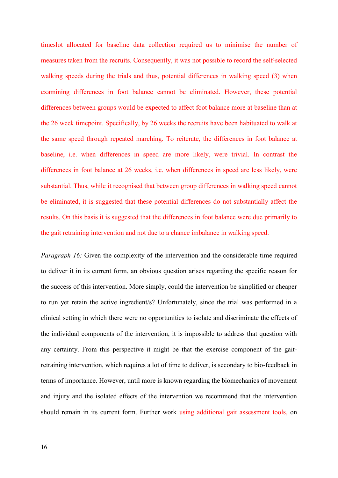timeslot allocated for baseline data collection required us to minimise the number of measures taken from the recruits. Consequently, it was not possible to record the self-selected walking speeds during the trials and thus, potential differences in walking speed (3) when examining differences in foot balance cannot be eliminated. However, these potential differences between groups would be expected to affect foot balance more at baseline than at the 26 week timepoint. Specifically, by 26 weeks the recruits have been habituated to walk at the same speed through repeated marching. To reiterate, the differences in foot balance at baseline, i.e. when differences in speed are more likely, were trivial. In contrast the differences in foot balance at 26 weeks, i.e. when differences in speed are less likely, were substantial. Thus, while it recognised that between group differences in walking speed cannot be eliminated, it is suggested that these potential differences do not substantially affect the results. On this basis it is suggested that the differences in foot balance were due primarily to the gait retraining intervention and not due to a chance imbalance in walking speed.

*Paragraph 16:* Given the complexity of the intervention and the considerable time required to deliver it in its current form, an obvious question arises regarding the specific reason for the success of this intervention. More simply, could the intervention be simplified or cheaper to run yet retain the active ingredient/s? Unfortunately, since the trial was performed in a clinical setting in which there were no opportunities to isolate and discriminate the effects of the individual components of the intervention, it is impossible to address that question with any certainty. From this perspective it might be that the exercise component of the gaitretraining intervention, which requires a lot of time to deliver, is secondary to bio-feedback in terms of importance. However, until more is known regarding the biomechanics of movement and injury and the isolated effects of the intervention we recommend that the intervention should remain in its current form. Further work using additional gait assessment tools, on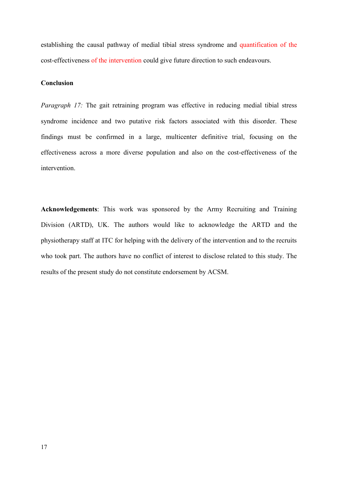establishing the causal pathway of medial tibial stress syndrome and quantification of the cost-effectiveness of the intervention could give future direction to such endeavours.

# **Conclusion**

*Paragraph 17:* The gait retraining program was effective in reducing medial tibial stress syndrome incidence and two putative risk factors associated with this disorder. These findings must be confirmed in a large, multicenter definitive trial, focusing on the effectiveness across a more diverse population and also on the cost-effectiveness of the intervention.

**Acknowledgements**: This work was sponsored by the Army Recruiting and Training Division (ARTD), UK. The authors would like to acknowledge the ARTD and the physiotherapy staff at ITC for helping with the delivery of the intervention and to the recruits who took part. The authors have no conflict of interest to disclose related to this study. The results of the present study do not constitute endorsement by ACSM.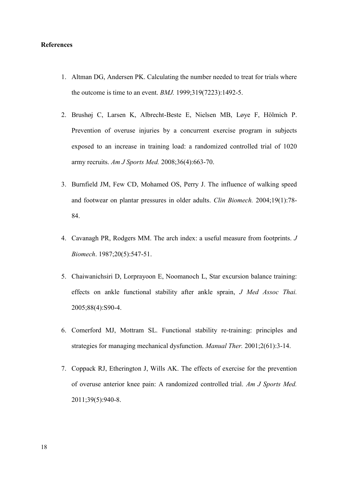### **References**

- 1. Altman DG, Andersen PK. Calculating the number needed to treat for trials where the outcome is time to an event. *BMJ.* 1999;319(7223):1492-5.
- 2. Brushøj C, Larsen K, Albrecht-Beste E, Nielsen MB, Løye F, Hölmich P. Prevention of overuse injuries by a concurrent exercise program in subjects exposed to an increase in training load: a randomized controlled trial of 1020 army recruits. *Am J Sports Med.* 2008;36(4):663-70.
- 3. Burnfield JM, Few CD, Mohamed OS, Perry J. The influence of walking speed and footwear on plantar pressures in older adults. *Clin Biomech.* 2004;19(1):78- 84.
- 4. Cavanagh PR, Rodgers MM. The arch index: a useful measure from footprints. *J Biomech*. 1987;20(5):547-51.
- 5. Chaiwanichsiri D, Lorprayoon E, Noomanoch L, Star excursion balance training: effects on ankle functional stability after ankle sprain, *J Med Assoc Thai.* 2005;88(4):S90-4.
- 6. Comerford MJ, Mottram SL. Functional stability re-training: principles and strategies for managing mechanical dysfunction. *Manual Ther.* 2001;2(61):3-14.
- 7. Coppack RJ, Etherington J, Wills AK. The effects of exercise for the prevention of overuse anterior knee pain: A randomized controlled trial. *Am J Sports Med.*  2011;39(5):940-8.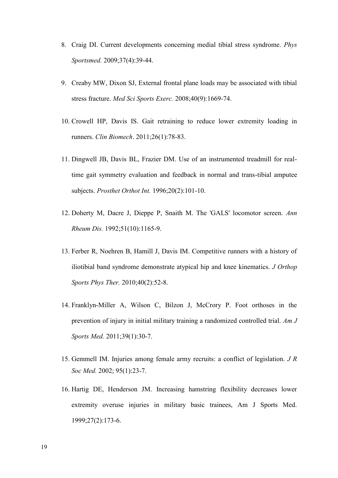- 8. Craig DI. Current developments concerning medial tibial stress syndrome. *Phys Sportsmed.* 2009;37(4):39-44.
- 9. Creaby MW, Dixon SJ, External frontal plane loads may be associated with tibial stress fracture. *Med Sci Sports Exerc.* 2008;40(9):1669-74.
- 10. Crowell HP, Davis IS. Gait retraining to reduce lower extremity loading in runners. *Clin Biomech*. 2011;26(1):78-83.
- 11. Dingwell JB, Davis BL, Frazier DM. Use of an instrumented treadmill for realtime gait symmetry evaluation and feedback in normal and trans-tibial amputee subjects. *Prosthet Orthot Int.* 1996;20(2):101-10.
- 12. Doherty M, Dacre J, Dieppe P, Snaith M. The 'GALS' locomotor screen. *Ann Rheum Dis.* 1992;51(10):1165-9.
- 13. Ferber R, Noehren B, Hamill J, Davis IM. Competitive runners with a history of iliotibial band syndrome demonstrate atypical hip and knee kinematics. *J Orthop Sports Phys Ther.* 2010;40(2):52-8.
- 14. Franklyn-Miller A, Wilson C, Bilzon J, McCrory P. Foot orthoses in the prevention of injury in initial military training a randomized controlled trial. *Am J Sports Med.* 2011;39(1):30-7.
- 15. Gemmell IM. Injuries among female army recruits: a conflict of legislation. *J R Soc Med.* 2002; 95(1):23-7.
- 16. Hartig DE, Henderson JM. Increasing hamstring flexibility decreases lower extremity overuse injuries in military basic trainees, Am J Sports Med. 1999;27(2):173-6.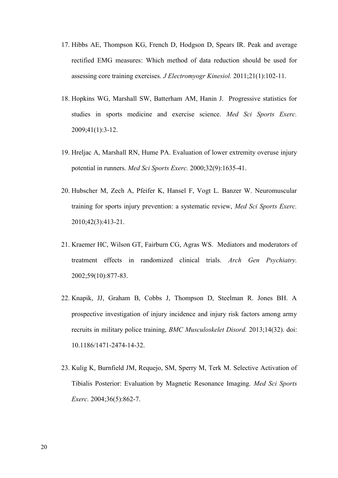- 17. Hibbs AE, Thompson KG, French D, Hodgson D, Spears IR. Peak and average rectified EMG measures: Which method of data reduction should be used for assessing core training exercises. *J Electromyogr Kinesiol.* 2011;21(1):102-11.
- 18. Hopkins WG, Marshall SW, Batterham AM, Hanin J. Progressive statistics for studies in sports medicine and exercise science. *Med Sci Sports Exerc.* 2009;41(1):3-12.
- 19. Hreljac A, Marshall RN, Hume PA. Evaluation of lower extremity overuse injury potential in runners. *Med Sci Sports Exerc.* 2000;32(9):1635-41.
- 20. Hubscher M, Zech A, Pfeifer K, Hansel F, Vogt L. Banzer W. Neuromuscular training for sports injury prevention: a systematic review, *Med Sci Sports Exerc.* 2010;42(3):413-21.
- 21. Kraemer HC, Wilson GT, Fairburn CG, Agras WS. Mediators and moderators of treatment effects in randomized clinical trials. *Arch Gen Psychiatry.* 2002;59(10):877-83.
- 22. Knapik, JJ, Graham B, Cobbs J, Thompson D, Steelman R. Jones BH. A prospective investigation of injury incidence and injury risk factors among army recruits in military police training, *BMC Musculoskelet Disord.* 2013;14(32). doi: 10.1186/1471-2474-14-32.
- 23. Kulig K, Burnfield JM, Requejo, SM, Sperry M, Terk M. Selective Activation of Tibialis Posterior: Evaluation by Magnetic Resonance Imaging. *Med Sci Sports Exerc.* 2004;36(5):862-7.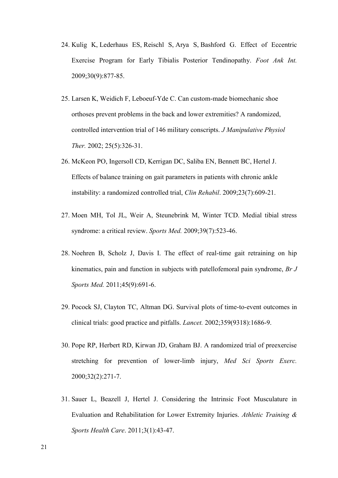- 24. Kulig K, Lederhaus ES, Reischl S, Arya S, Bashford G. Effect of Eccentric Exercise Program for Early Tibialis Posterior Tendinopathy. *Foot Ank Int.* 2009;30(9):877-85.
- 25. Larsen K, Weidich F, Leboeuf-Yde C. Can custom-made biomechanic shoe orthoses prevent problems in the back and lower extremities? A randomized, controlled intervention trial of 146 military conscripts. *J Manipulative Physiol Ther.* 2002; 25(5):326-31.
- 26. McKeon PO, Ingersoll CD, Kerrigan DC, Saliba EN, Bennett BC, Hertel J. Effects of balance training on gait parameters in patients with chronic ankle instability: a randomized controlled trial, *Clin Rehabil*. 2009;23(7):609-21.
- 27. Moen MH, Tol JL, Weir A, Steunebrink M, Winter TCD. Medial tibial stress syndrome: a critical review. *Sports Med.* 2009;39(7):523-46.
- 28. Noehren B, Scholz J, Davis I. The effect of real-time gait retraining on hip kinematics, pain and function in subjects with patellofemoral pain syndrome, *Br J Sports Med.* 2011;45(9):691-6.
- 29. Pocock SJ, Clayton TC, Altman DG. Survival plots of time-to-event outcomes in clinical trials: good practice and pitfalls. *Lancet.* 2002;359(9318):1686-9.
- 30. Pope RP, Herbert RD, Kirwan JD, Graham BJ. A randomized trial of preexercise stretching for prevention of lower-limb injury, *Med Sci Sports Exerc.* 2000;32(2):271-7.
- 31. Sauer L, Beazell J, Hertel J. Considering the Intrinsic Foot Musculature in Evaluation and Rehabilitation for Lower Extremity Injuries. *Athletic Training & Sports Health Care*. 2011;3(1):43-47.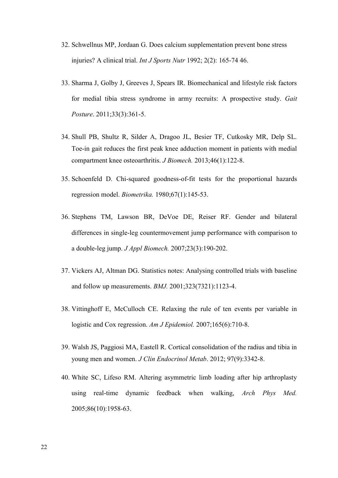- 32. Schwellnus MP, Jordaan G. Does calcium supplementation prevent bone stress injuries? A clinical trial. *Int J Sports Nutr* 1992; 2(2): 165-74 46.
- 33. Sharma J, Golby J, Greeves J, Spears IR. Biomechanical and lifestyle risk factors for medial tibia stress syndrome in army recruits: A prospective study. *Gait Posture*. 2011;33(3):361-5.
- 34. Shull PB, Shultz R, Silder A, Dragoo JL, Besier TF, Cutkosky MR, Delp SL. Toe-in gait reduces the first peak knee adduction moment in patients with medial compartment knee osteoarthritis. *J Biomech.* 2013;46(1):122-8.
- 35. Schoenfeld D. Chi-squared goodness-of-fit tests for the proportional hazards regression model. *Biometrika.* 1980;67(1):145-53.
- 36. Stephens TM, Lawson BR, DeVoe DE, Reiser RF. Gender and bilateral differences in single-leg countermovement jump performance with comparison to a double-leg jump. *J Appl Biomech.* 2007;23(3):190-202.
- 37. Vickers AJ, Altman DG. Statistics notes: Analysing controlled trials with baseline and follow up measurements. *BMJ.* 2001;323(7321):1123-4.
- 38. Vittinghoff E, McCulloch CE. Relaxing the rule of ten events per variable in logistic and Cox regression. *Am J Epidemiol.* 2007;165(6):710-8.
- 39. Walsh JS, Paggiosi MA, Eastell R. Cortical consolidation of the radius and tibia in young men and women. *J Clin Endocrinol Metab*. 2012; 97(9):3342-8.
- 40. White SC, Lifeso RM. Altering asymmetric limb loading after hip arthroplasty using real-time dynamic feedback when walking, *Arch Phys Med.* 2005;86(10):1958-63.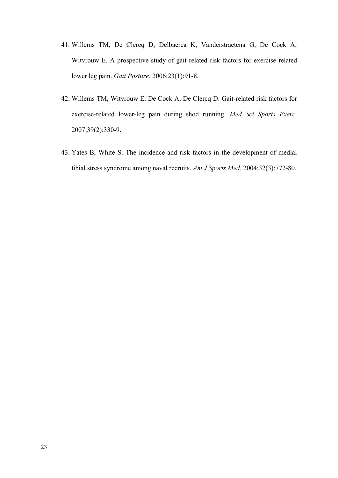- 41. Willems TM, De Clercq D, Delbaerea K, Vanderstraetena G, De Cock A, Witvrouw E. A prospective study of gait related risk factors for exercise-related lower leg pain. *Gait Posture.* 2006;23(1):91-8.
- 42. Willems TM, Witvrouw E, De Cock A, De Clercq D. Gait-related risk factors for exercise-related lower-leg pain during shod running. *Med Sci Sports Exerc.* 2007;39(2):330-9.
- 43. Yates B, White S. The incidence and risk factors in the development of medial tibial stress syndrome among naval recruits. *Am J Sports Med.* 2004;32(3):772-80.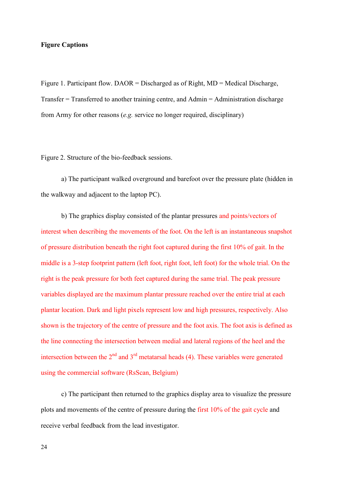### **Figure Captions**

Figure 1. Participant flow. DAOR = Discharged as of Right, MD = Medical Discharge, Transfer = Transferred to another training centre, and Admin = Administration discharge from Army for other reasons (*e.g.* service no longer required, disciplinary)

Figure 2. Structure of the bio-feedback sessions.

a) The participant walked overground and barefoot over the pressure plate (hidden in the walkway and adjacent to the laptop PC).

b) The graphics display consisted of the plantar pressures and points/vectors of interest when describing the movements of the foot. On the left is an instantaneous snapshot of pressure distribution beneath the right foot captured during the first 10% of gait. In the middle is a 3-step footprint pattern (left foot, right foot, left foot) for the whole trial. On the right is the peak pressure for both feet captured during the same trial. The peak pressure variables displayed are the maximum plantar pressure reached over the entire trial at each plantar location. Dark and light pixels represent low and high pressures, respectively. Also shown is the trajectory of the centre of pressure and the foot axis. The foot axis is defined as the line connecting the intersection between medial and lateral regions of the heel and the intersection between the  $2<sup>nd</sup>$  and  $3<sup>rd</sup>$  metatarsal heads (4). These variables were generated using the commercial software (RsScan, Belgium)

c) The participant then returned to the graphics display area to visualize the pressure plots and movements of the centre of pressure during the first 10% of the gait cycle and receive verbal feedback from the lead investigator.